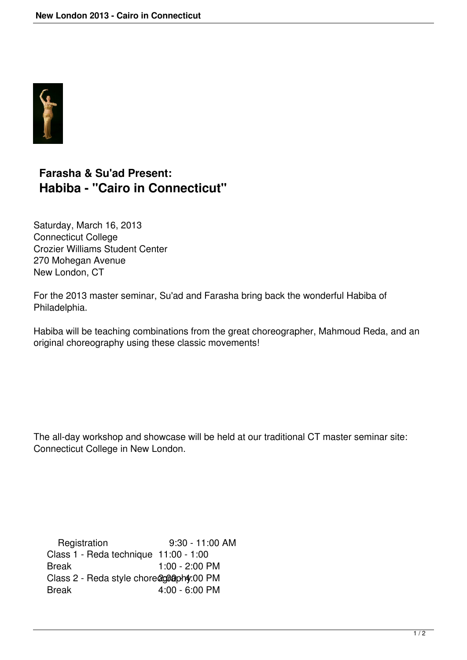

## **Farasha & Su'ad Present: Habiba - "Cairo in Connecticut"**

Saturday, March 16, 2013 Connecticut College Crozier Williams Student Center 270 Mohegan Avenue New London, CT

For the 2013 master seminar, Su'ad and Farasha bring back the wonderful Habiba of Philadelphia.

Habiba will be teaching combinations from the great choreographer, Mahmoud Reda, and an original choreography using these classic movements!

The all-day workshop and showcase will be held at our traditional CT master seminar site: Connecticut College in New London.

 Registration 9:30 - 11:00 AM Class 1 - Reda technique 11:00 - 1:00 Break 1:00 - 2:00 PM Class 2 - Reda style chore@c@@ph4:00 PM Break 4:00 - 6:00 PM